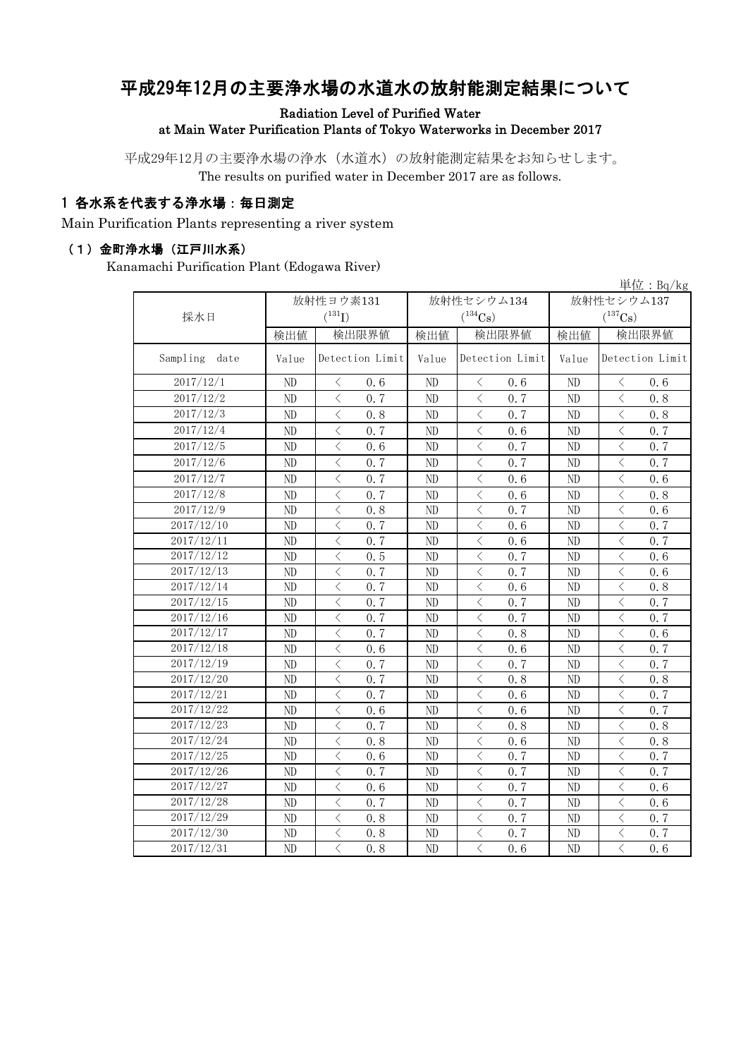# 平成29年12月の主要浄水場の水道水の放射能測定結果について

Radiation Level of Purified Water

at Main Water Purification Plants of Tokyo Waterworks in December 2017

平成29年12月の主要浄水場の浄水(水道水)の放射能測定結果をお知らせします。 The results on purified water in December 2017 are as follows.

#### 1 各水系を代表する浄水場:毎日測定

Main Purification Plants representing a river system

#### (1)金町浄水場(江戸川水系)

Kanamachi Purification Plant (Edogawa River)

|                  |           |                                                  |                          |                                                                                                                                                                      |            | $\vert \dot{\Xi} \vert \dot{\Xi}$ : Bq/kg       |  |
|------------------|-----------|--------------------------------------------------|--------------------------|----------------------------------------------------------------------------------------------------------------------------------------------------------------------|------------|-------------------------------------------------|--|
|                  | 放射性ヨウ素131 |                                                  |                          | 放射性セシウム134                                                                                                                                                           | 放射性セシウム137 |                                                 |  |
| 採水日              |           | $(^{131}I)$                                      |                          | $(^{134}\mathrm{Cs})$                                                                                                                                                |            | $(^{137}\mathrm{Cs})$                           |  |
|                  | 検出値       | 検出限界値                                            | 検出値                      | 検出限界値                                                                                                                                                                | 検出値        | 検出限界値                                           |  |
| Sampling<br>date | Value     | Detection Limit                                  | Detection Limit<br>Value |                                                                                                                                                                      | Value      | Detection Limit                                 |  |
| 2017/12/1        | ND        | 0.6<br>$\lt$                                     | ND                       | $\lt$<br>0.6                                                                                                                                                         | ND         | $\lt$<br>0.6                                    |  |
| 2017/12/2        | ND        | $\lt$<br>0.7                                     | ND                       | $\langle$<br>0.7                                                                                                                                                     | ND         | $\langle$<br>0.8                                |  |
| 2017/12/3        | $\rm ND$  | $\langle$<br>0.8                                 | ND                       | $\langle$<br>0.7                                                                                                                                                     | ND         | $\langle$<br>0.8                                |  |
| 2017/12/4        | ND        | $\langle$<br>0.7                                 | ND                       | $\lt$<br>0.6                                                                                                                                                         | ND         | $\langle$<br>0.7                                |  |
| 2017/12/5        | ND        | $\overline{\left\langle \right\rangle }$<br>0, 6 | ND                       | $\langle$<br>0, 7                                                                                                                                                    | ND         | $\overline{\left\langle \right\rangle }$<br>0.7 |  |
| 2017/12/6        | ND        | $\overline{\left\langle \right\rangle }$<br>0.7  | ND                       | $\langle$<br>0.7                                                                                                                                                     | ND         | $\langle$<br>0.7                                |  |
| 2017/12/7        | ND        | $\langle$<br>0.7                                 | ND                       | $\langle$<br>0.6                                                                                                                                                     | ND         | $\langle$<br>0.6                                |  |
| 2017/12/8        | ND        | $\langle$<br>0.7                                 | ND                       | $\langle$<br>0.6                                                                                                                                                     | ND         | $\langle$<br>0.8                                |  |
| 2017/12/9        | ND        | $\langle$<br>0.8                                 | ND                       | $\,$ $\,$ $\,$<br>0.7                                                                                                                                                | ND         | $\langle$<br>0.6                                |  |
| 2017/12/10       | ND        | $\langle$<br>0.7                                 | ND                       | $\langle$<br>0.6                                                                                                                                                     | ND         | $\langle$<br>0.7                                |  |
| 2017/12/11       | ND        | $\langle$<br>0.7                                 | ND                       | $\langle$<br>0.6                                                                                                                                                     | ND         | $\langle$<br>0.7                                |  |
| 2017/12/12       | ND        | $\overline{\left\langle \right\rangle }$<br>0.5  | ND                       | $\langle$<br>0.7                                                                                                                                                     | ND         | $\overline{\left\langle \right\rangle }$<br>0.6 |  |
| 2017/12/13       | ND        | $\lt$<br>0, 7                                    | ND                       | $\langle$<br>0.7                                                                                                                                                     | ND         | $\langle$<br>0, 6                               |  |
| 2017/12/14       | ND        | $\langle$<br>0.7                                 | ND                       | $\, < \,$<br>0.6                                                                                                                                                     | ND         | $\langle$<br>0.8                                |  |
| 2017/12/15       | ND        | $\langle$<br>0.7                                 | ND                       | $\,$ $\,$ $\,$<br>0.7                                                                                                                                                | ND         | $\langle$<br>0.7                                |  |
| 2017/12/16       | ND        | $\lt$<br>0.7                                     | ND                       | $\lt$<br>0.7                                                                                                                                                         | ND         | $\langle$<br>0.7                                |  |
| 2017/12/17       | ND        | $\langle$<br>0, 7                                | ND                       | $\lt$<br>0.8                                                                                                                                                         | ND         | $\langle$<br>0.6                                |  |
| 2017/12/18       | ND        | $\overline{\left\langle \right\rangle }$<br>0, 6 | ND                       | $\langle$<br>0, 6                                                                                                                                                    | ND         | $\langle$<br>0.7                                |  |
| 2017/12/19       | ND        | $\langle$<br>0, 7                                | ND                       | $\langle$<br>0.7                                                                                                                                                     | ND         | $\langle$<br>0.7                                |  |
| 2017/12/20       | ND        | $\langle$<br>0.7                                 | ND                       | $\,$ $\,$ $\,$<br>0.8                                                                                                                                                | ND         | $\langle$<br>0.8                                |  |
| 2017/12/21       | ND        | $\lt$<br>0, 7                                    | ND                       | $\lt$<br>0.6                                                                                                                                                         | ND         | $\langle$<br>0.7                                |  |
| 2017/12/22       | ND        | $\langle$<br>0.6                                 | $\overline{ND}$          | $\langle$<br>0.6                                                                                                                                                     | ND         | $\langle$<br>0.7                                |  |
| 2017/12/23       | ND        | $\langle$<br>0.7                                 | ND                       | $\lt$<br>0.8                                                                                                                                                         | ND         | $\langle$<br>0.8                                |  |
| 2017/12/24       | $\rm ND$  | $\lt$<br>0.8                                     | ND                       | $\lt$<br>0.6                                                                                                                                                         | ND         | $\lt$<br>0.8                                    |  |
| 2017/12/25       | ND        | $\langle$<br>0.6                                 | ND                       | $\,$ $\,$ $\,$<br>0.7                                                                                                                                                | ND         | $\langle$<br>0.7                                |  |
| 2017/12/26       | ND        | $\lt$<br>0, 7                                    | ND                       | $\langle$<br>0.7                                                                                                                                                     | ND         | $\langle$<br>0.7                                |  |
| 2017/12/27       | $\rm ND$  | $\langle$<br>0.6                                 | ND                       | $\langle$<br>0.7                                                                                                                                                     | ND         | $\lt$<br>0.6                                    |  |
| 2017/12/28       | ND        | $\langle$<br>0.7                                 | ND                       | $\,$ $\,$ $\,$<br>0.7                                                                                                                                                | ND         | $\langle$<br>0.6                                |  |
| 2017/12/29       | $\rm ND$  | $\lt$<br>0.8                                     | ND                       | $\lt$<br>0.7                                                                                                                                                         | ND         | $\langle$<br>0.7                                |  |
| 2017/12/30       | $\rm ND$  | $\langle$<br>0.8                                 | ND                       | $\overline{\left\langle \right. }% ,\left\langle \overline{\left\langle \right. }% ,\left\langle \overline{\left\langle \right\rangle }\right\rangle \right.$<br>0.7 | ND         | $\langle$<br>0.7                                |  |
| 2017/12/31       | ND        | $\langle$<br>0.8                                 | ND                       | $\langle$<br>0, 6                                                                                                                                                    | ND         | $\langle$<br>0.6                                |  |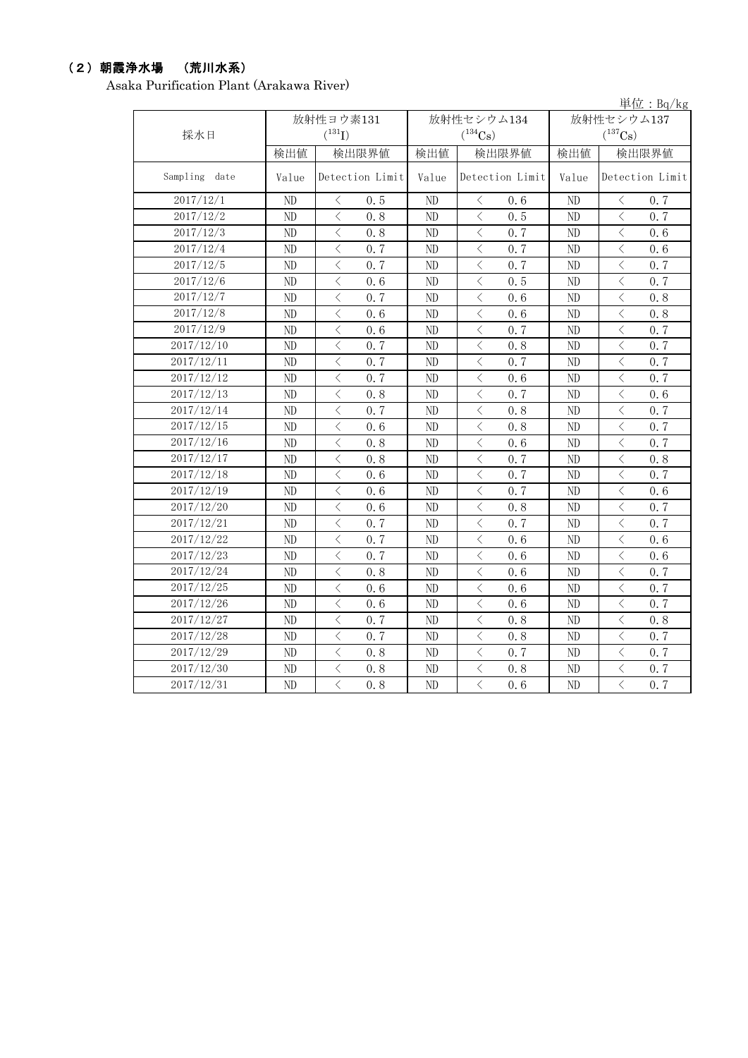## (2)朝霞浄水場 (荒川水系)

Asaka Purification Plant (Arakawa River)

|               |                |                                                 |                |                                                  |            | 単位: $Bq/kg$                                      |  |
|---------------|----------------|-------------------------------------------------|----------------|--------------------------------------------------|------------|--------------------------------------------------|--|
|               |                | 放射性ヨウ素131                                       |                | 放射性セシウム134                                       | 放射性セシウム137 |                                                  |  |
| 採水日           |                | $(^{131}I)$                                     |                | $(^{134}Cs)$                                     |            | $(^{137}Cs)$                                     |  |
|               | 検出値            | 検出限界値                                           | 検出値            | 検出限界値                                            | 検出値        | 検出限界値                                            |  |
| Sampling date | Value          | Detection Limit                                 | Value          | Detection Limit                                  | Value      | Detection Limit                                  |  |
| 2017/12/1     | ND             | $\langle$<br>0.5                                | ND             | $\lt$<br>0, 6                                    | ND         | $\langle$<br>0.7                                 |  |
| 2017/12/2     | ND             | $\langle$<br>0.8                                | N <sub>D</sub> | $\overline{\left\langle \right\rangle }$<br>0.5  | ND         | $\langle$<br>0.7                                 |  |
| 2017/12/3     | ND             | $\,$ $\,$ $\,$<br>0.8                           | ND             | $\langle$<br>0.7                                 | ND         | $\langle$<br>0.6                                 |  |
| 2017/12/4     | N <sub>D</sub> | $\langle$<br>0, 7                               | ND             | $\langle$<br>0, 7                                | ND         | $\langle$<br>0.6                                 |  |
| 2017/12/5     | $\rm ND$       | $\lt$<br>0.7                                    | ND             | $\lt$<br>0.7                                     | $\rm ND$   | $\lt$<br>0.7                                     |  |
| 2017/12/6     | ND             | $\lt$<br>0.6                                    | ND             | $\langle$<br>0.5                                 | ND         | $\lt$<br>0.7                                     |  |
| 2017/12/7     | ND             | $\langle$<br>0.7                                | ND             | $\lt$<br>0.6                                     | ND         | $\lt$<br>0.8                                     |  |
| 2017/12/8     | ND             | $\lt$<br>0.6                                    | ND             | $\lt$<br>0.6                                     | ND         | $\lt$<br>0.8                                     |  |
| 2017/12/9     | N <sub>D</sub> | $\langle$<br>0.6                                | ND             | $\,$ $\,$ $\,$<br>0.7                            | ND         | $\langle$<br>0.7                                 |  |
| 2017/12/10    | ND             | $\lt$<br>0.7                                    | ND             | $\langle$<br>0.8                                 | ND         | $\langle$<br>0.7                                 |  |
| 2017/12/11    | ND             | $\lt$<br>0.7                                    | ND             | $\lt$<br>0.7                                     | ND         | $\langle$<br>0.7                                 |  |
| 2017/12/12    | ND             | $\lt$<br>0.7                                    | ND             | $\langle$<br>0.6                                 | ND         | $\lt$<br>0.7                                     |  |
| 2017/12/13    | ND             | $\lt$<br>0.8                                    | ND             | 0.7<br>$\langle$                                 | ND         | $\lt$<br>0.6                                     |  |
| 2017/12/14    | ND             | $\lt$<br>0.7                                    | ND             | $\langle$<br>0.8                                 | ND         | $\lt$<br>0.7                                     |  |
| 2017/12/15    | ND             | $\langle$<br>0.6                                | ND             | $\langle$<br>0.8                                 | ND         | $\lt$<br>0.7                                     |  |
| 2017/12/16    | ND             | $\langle$<br>0.8                                | ND             | $\lt$<br>0.6                                     | ND         | $\lt$<br>0.7                                     |  |
| 2017/12/17    | $\rm ND$       | $\langle$<br>0.8                                | ND             | $\langle$<br>0.7                                 | ND         | $\langle$<br>0.8                                 |  |
| 2017/12/18    | ND             | $\lt$<br>0.6                                    | ND             | $\,$ $\,$ $\,$<br>0.7                            | ND         | $\langle$<br>0.7                                 |  |
| 2017/12/19    | $\rm ND$       | $\lt$<br>0.6                                    | ND             | $\lt$<br>0.7                                     | $\rm ND$   | $\lt$<br>0.6                                     |  |
| 2017/12/20    | ND             | $\langle$<br>0.6                                | ND             | $\langle$<br>0.8                                 | ND         | $\lt$<br>0.7                                     |  |
| 2017/12/21    | ND             | $\langle$<br>0.7                                | ND             | $\langle$<br>0.7                                 | ND         | $\langle$<br>0.7                                 |  |
| 2017/12/22    | ND             | $\lt$<br>0.7                                    | ND             | $\,$ $\,$ $\,$<br>0.6                            | ND         | $\lt$<br>0.6                                     |  |
| 2017/12/23    | ND             | $\langle$<br>0.7                                | ND             | $\langle$<br>0, 6                                | ND         | $\langle$<br>0, 6                                |  |
| 2017/12/24    | ND             | $\lt$<br>0.8                                    | ND             | $\lt$<br>0.6                                     | ND         | $\langle$<br>0.7                                 |  |
| 2017/12/25    | ND             | $\lt$<br>0.6                                    | ND             | $\lt$<br>0.6                                     | ND         | $\lt$<br>0.7                                     |  |
| 2017/12/26    | ND             | $\langle$<br>0.6                                | ND             | $\lt$<br>0.6                                     | ND         | $\langle$<br>0.7                                 |  |
| 2017/12/27    | ND             | $\lt$<br>0.7                                    | ND             | $\lt$<br>0.8                                     | ND         | $\langle$<br>0.8                                 |  |
| 2017/12/28    | ND             | $\langle$<br>0.7                                | N <sub>D</sub> | $\overline{\left\langle \right\rangle }$<br>0, 8 | ND         | $\overline{\left\langle \right\rangle }$<br>0, 7 |  |
| 2017/12/29    | ND             | $\langle$<br>0.8                                | ND             | $\langle$<br>0.7                                 | ND         | $\lt$<br>0.7                                     |  |
| 2017/12/30    | ND             | $\overline{\left\langle \right\rangle }$<br>0.8 | ND             | $\langle$<br>0.8                                 | ND         | $\langle$<br>0.7                                 |  |
| 2017/12/31    | ND             | $\overline{\langle}$<br>0.8                     | ND             | $\overline{\langle}$<br>0.6                      | ND         | $\langle$<br>0.7                                 |  |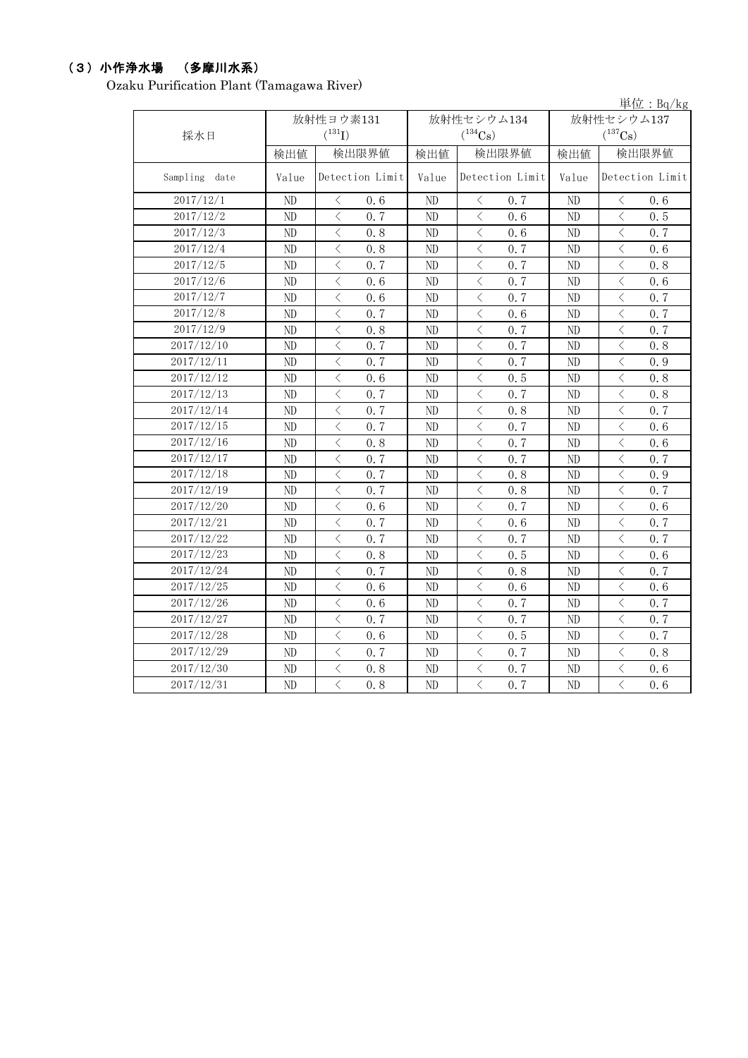## (3)小作浄水場 (多摩川水系)

Ozaku Purification Plant (Tamagawa River)

|                         |       |                                                 |            |                                     |       | 単位: $Bq/kg$                                                                                                                                                                |
|-------------------------|-------|-------------------------------------------------|------------|-------------------------------------|-------|----------------------------------------------------------------------------------------------------------------------------------------------------------------------------|
|                         |       | 放射性ヨウ素131                                       |            | 放射性セシウム134                          |       | 放射性セシウム137                                                                                                                                                                 |
| 採水日                     |       | $(^{131}I)$                                     |            | $(^{134}Cs)$                        |       | $(^{137}Cs)$                                                                                                                                                               |
|                         | 検出値   | 検出限界値                                           | 検出値        | 検出限界値                               | 検出値   | 検出限界値                                                                                                                                                                      |
| Sampling date           | Value | Detection Limit                                 | Value      | Detection Limit                     | Value | Detection Limit                                                                                                                                                            |
| 2017/12/1               | ND    | $\langle$<br>0.6                                | ND         | $\langle$<br>0.7                    | ND    | $\langle$<br>0.6                                                                                                                                                           |
| 2017/12/2               | ND    | $\lt$<br>0, 7                                   | ${\rm ND}$ | $\hspace{0.5cm}\mathopen{<}$<br>0.6 | ND    | $\hspace{0.5cm}\mathopen{<}$<br>0.5                                                                                                                                        |
| 2017/12/3               | ND    | $\lt$<br>0.8                                    | ND         | $\lt$<br>0.6                        | ND    | $\hspace{0.5cm}\mathopen{<}$<br>0.7                                                                                                                                        |
| 2017/12/4               | ND    | $\lt$<br>0.8                                    | ND         | $\lt$<br>0.7                        | ND    | $\hspace{0.5cm}\mathopen{<}$<br>0.6                                                                                                                                        |
| 2017/12/5               | ND    | $\lt$<br>0.7                                    | ND         | $\lt$<br>0.7                        | ND    | $\hspace{0.5cm}\mathopen{<}$<br>0.8                                                                                                                                        |
| 2017/12/6               | ND    | $\lt$<br>0.6                                    | ND         | $\lt$<br>0.7                        | ND    | $\hspace{0.5cm}\mathopen{<}$<br>0.6                                                                                                                                        |
| 2017/12/7               | ND    | $\lt$<br>0.6                                    | ND         | $\lt$<br>0.7                        | ND    | $\, < \,$<br>0.7                                                                                                                                                           |
| 2017/12/8               | ND    | $\langle$<br>0.7                                | ND         | $\lt$<br>0.6                        | ND    | $\lt$<br>0.7                                                                                                                                                               |
| 2017/12/9               | ND    | $\langle$<br>0.8                                | ND         | $\lt$<br>0.7                        | ND    | $\,$ $\,$ $\,$<br>0.7                                                                                                                                                      |
| 2017/12/10              | ND    | $\langle$<br>0, 7                               | ND         | $\langle$<br>0.7                    | ND    | $\,$ $\,$ $\,$<br>0.8                                                                                                                                                      |
| 2017/12/11              | ND    | $\langle$<br>0.7                                | ND         | $\langle$<br>0.7                    | ND    | $\,$ $\,$ $\,$<br>0.9                                                                                                                                                      |
| 2017/12/12              | ND    | $\langle$<br>0.6                                | ND         | $\langle$<br>0.5                    | ND    | $\langle$<br>0, 8                                                                                                                                                          |
| 2017/12/13              | ND    | $\langle$<br>0.7                                | ND         | $\langle$<br>0.7                    | ND    | $\lt$<br>0.8                                                                                                                                                               |
| 2017/12/14              | ND    | $\langle$<br>0, 7                               | ND         | $\langle$<br>0.8                    | ND    | $\langle$<br>0.7                                                                                                                                                           |
| 2017/12/15              | ND    | $\langle$<br>0, 7                               | ND         | $\langle$<br>0.7                    | ND    | $\langle$<br>0, 6                                                                                                                                                          |
| 2017/12/16              | ND    | $\langle$<br>0.8                                | ND         | $\langle$<br>0.7                    | ND    | $\langle$<br>0.6                                                                                                                                                           |
| $2017/12/\overline{17}$ | ND    | $\langle$<br>0.7                                | ND         | $\langle$<br>0.7                    | ND    | $\langle$<br>0.7                                                                                                                                                           |
| 2017/12/18              | ND    | $\langle$<br>0.7                                | ND         | $\langle$<br>0.8                    | ND    | $\langle$<br>0.9                                                                                                                                                           |
| 2017/12/19              | ND    | $\langle$<br>0.7                                | ND         | $\langle$<br>0.8                    | ND    | $\langle$<br>0.7                                                                                                                                                           |
| 2017/12/20              | ND    | $\langle$<br>0.6                                | ND         | $\langle$<br>0.7                    | ND    | $\overline{\left\langle \right\rangle }$<br>0.6                                                                                                                            |
| 2017/12/21              | ND    | $\langle$<br>0.7                                | ND         | $\langle$<br>0.6                    | ND    | $\langle$<br>0.7                                                                                                                                                           |
| 2017/12/22              | ND    | $\langle$<br>0.7                                | ND         | $\langle$<br>0.7                    | ND    | $\langle$<br>0.7                                                                                                                                                           |
| 2017/12/23              | ND    | $\langle$<br>0.8                                | ND         | $\langle$<br>0.5                    | ND    | $\overline{\left\langle \right\rangle }$<br>0.6                                                                                                                            |
| 2017/12/24              | ND    | $\langle$<br>0.7                                | ND         | $\langle$<br>0.8                    | ND    | $\,$ $\,$ $\,$<br>0.7                                                                                                                                                      |
| 2017/12/25              | ND    | $\lt$<br>0.6                                    | ND         | $\langle$<br>0.6                    | ND    | $\hspace{0.5cm}\mathopen{<}$<br>0.6                                                                                                                                        |
| 2017/12/26              | ND    | $\lt$<br>0.6                                    | ND         | $\lt$<br>0.7                        | ND    | $\hspace{0.5cm}\mathopen{<}$<br>0.7                                                                                                                                        |
| 2017/12/27              | ND    | $\lt$<br>0.7                                    | ND         | $\lt$<br>0.7                        | ND    | $\hspace{0.5cm}\mathopen{\begin{array}{c} \mathopen{\begin{array}{c} \mathopen{\hskip 1pt}\mathopen{\label{array}{c} \mathopen{\hskip 1pt}\mathopen{\end{array}}}}$<br>0.7 |
| 2017/12/28              | ND    | $\lt$<br>0.6                                    | ND         | $\lt$<br>0.5                        | ND    | $\,$ $\,$ $\,$<br>0.7                                                                                                                                                      |
| 2017/12/29              | ND    | $\lt$<br>0.7                                    | ND         | $\lt$<br>0.7                        | ND    | $\hspace{0.5cm}\mathopen{<}$<br>0.8                                                                                                                                        |
| 2017/12/30              | ND    | $\lt$<br>0.8                                    | ND         | $\lt$<br>0.7                        | ND    | $\hspace{0.5cm}\mathopen{\begin{array}{c} \mathopen{\begin{array}{c} \mathopen{\hskip 1pt}\mathopen{\label{array}{c} \mathopen{\hskip 1pt}\mathopen{\end{array}}}}$<br>0.6 |
| 2017/12/31              | ND    | $\overline{\left\langle \right\rangle }$<br>0.8 | ND         | $\langle$<br>0.7                    | ND    | $\overline{\langle}$<br>0.6                                                                                                                                                |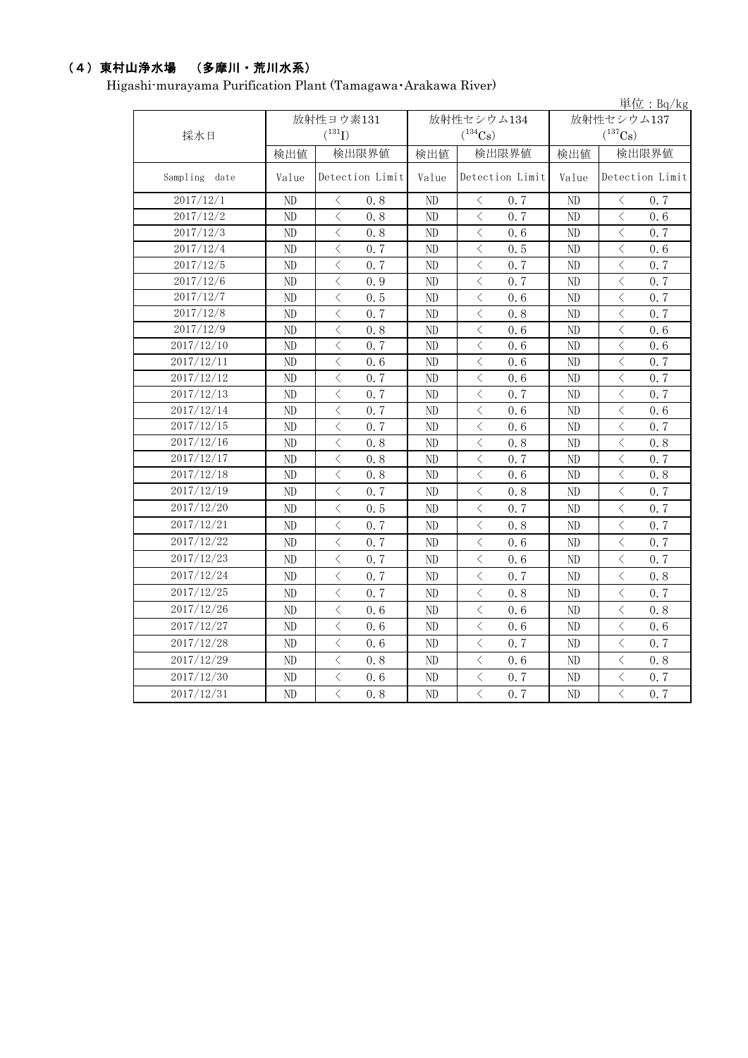## (4)東村山浄水場 (多摩川・荒川水系)

Higashi-murayama Purification Plant (Tamagawa・Arakawa River)

|               |           |                                                                                                                                                                                     |       |                   |                | $\vert \dot{\Xi} \vert \dot{\Xi}$ : Bq/kg       |  |
|---------------|-----------|-------------------------------------------------------------------------------------------------------------------------------------------------------------------------------------|-------|-------------------|----------------|-------------------------------------------------|--|
|               | 放射性ヨウ素131 |                                                                                                                                                                                     |       | 放射性セシウム134        | 放射性セシウム137     |                                                 |  |
| 採水日           |           | $(^{131}I)$                                                                                                                                                                         |       | $(^{134}Cs)$      |                | $(^{137}Cs)$                                    |  |
|               | 検出値       | 検出限界値                                                                                                                                                                               | 検出値   | 検出限界値             | 検出値            | 検出限界値                                           |  |
| Sampling date | Value     | Detection Limit                                                                                                                                                                     | Value | Detection Limit   | Value          | Detection Limit                                 |  |
| 2017/12/1     | ND        | $\langle$<br>0.8                                                                                                                                                                    | ND    | $\langle$<br>0, 7 | ND             | $\langle$<br>0.7                                |  |
| 2017/12/2     | ND        | $\langle$<br>0.8                                                                                                                                                                    | ND    | $\langle$<br>0.7  | ND             | $\overline{\left\langle \right\rangle }$<br>0.6 |  |
| 2017/12/3     | ND        | $\langle$<br>0.8                                                                                                                                                                    | ND    | $\langle$<br>0.6  | ND             | $\overline{\left\langle \right\rangle }$<br>0.7 |  |
| 2017/12/4     | ND        | $\langle$<br>0.7                                                                                                                                                                    | ND    | $\langle$<br>0.5  | ND             | $\overline{\left\langle \right\rangle }$<br>0.6 |  |
| 2017/12/5     | ND        | $\lt$<br>0.7                                                                                                                                                                        | ND    | $\langle$<br>0.7  | ND             | $\langle$<br>0.7                                |  |
| 2017/12/6     | ND        | $\overline{\left\langle \right\rangle }$<br>0.9                                                                                                                                     | ND    | $\langle$<br>0.7  | ND             | $\overline{\left\langle \right\rangle }$<br>0.7 |  |
| 2017/12/7     | ND        | $\langle$<br>0.5                                                                                                                                                                    | ND    | $\langle$<br>0.6  | N <sub>D</sub> | $\overline{\left\langle \right\rangle }$<br>0.7 |  |
| 2017/12/8     | ND        | $\langle$<br>0, 7                                                                                                                                                                   | ND    | $\langle$<br>0.8  | ND             | $\lt$<br>0.7                                    |  |
| 2017/12/9     | ND        | $\overline{\left\langle \right\rangle }$<br>0.8                                                                                                                                     | ND    | $\langle$<br>0.6  | ND             | $\overline{\left\langle \right\rangle }$<br>0.6 |  |
| 2017/12/10    | ND        | $\langle$<br>0, 7                                                                                                                                                                   | ND    | $\langle$<br>0.6  | N <sub>D</sub> | $\overline{\left\langle \right\rangle }$<br>0.6 |  |
| 2017/12/11    | ND        | $\lt$<br>0.6                                                                                                                                                                        | ND    | $\lt$<br>0.6      | ND             | $\langle$<br>0.7                                |  |
| 2017/12/12    | ND        | $\lt$<br>0.7                                                                                                                                                                        | ND    | $\langle$<br>0.6  | ND             | $\lt$<br>0.7                                    |  |
| 2017/12/13    | ND        | $\langle$<br>0, 7                                                                                                                                                                   | ND    | $\langle$<br>0.7  | N <sub>D</sub> | $\overline{\left\langle \right\rangle }$<br>0.7 |  |
| 2017/12/14    | ND        | $\lt$<br>0.7                                                                                                                                                                        | ND    | $\lt$<br>0.6      | ND             | $\langle$<br>0.6                                |  |
| 2017/12/15    | ND        | $\lt$<br>0.7                                                                                                                                                                        | ND    | $\lt$<br>0.6      | ND             | $\lt$<br>0.7                                    |  |
| 2017/12/16    | ND        | $\langle$<br>0.8                                                                                                                                                                    | ND    | $\lt$<br>0.8      | N <sub>D</sub> | $\langle$<br>0.8                                |  |
| 2017/12/17    | ND        | $\lt$<br>0.8                                                                                                                                                                        | ND    | $\lt$<br>0.7      | ND             | $\langle$<br>0.7                                |  |
| 2017/12/18    | ND        | $\lt$<br>0.8                                                                                                                                                                        | ND    | $\lt$<br>0.6      | ND             | $\lt$<br>0.8                                    |  |
| 2017/12/19    | ND        | $\langle$<br>0.7                                                                                                                                                                    | ND    | $\langle$<br>0.8  | ND             | $\langle$<br>0.7                                |  |
| 2017/12/20    | ND        | $\langle$<br>0.5                                                                                                                                                                    | ND    | $\langle$<br>0.7  | ND.            | $\overline{\left\langle \right\rangle }$<br>0.7 |  |
| 2017/12/21    | ND        | $\langle$<br>0, 7                                                                                                                                                                   | ND    | $\langle$<br>0.8  | ND             | $\overline{\left\langle \right\rangle }$<br>0.7 |  |
| 2017/12/22    | ND        | $\,$ $\,$ $\,$<br>0.7                                                                                                                                                               | ND    | $\lt$<br>0, 6     | ND             | $\langle$<br>0, 7                               |  |
| 2017/12/23    | ND        | $\langle$<br>0, 7                                                                                                                                                                   | ND    | $\langle$<br>0.6  | ND             | $\overline{\left\langle \right\rangle }$<br>0.7 |  |
| 2017/12/24    | ND        | $\lt$<br>0.7                                                                                                                                                                        | ND    | $\lt$<br>0.7      | ND             | $\lt$<br>0.8                                    |  |
| 2017/12/25    | ND        | $\langle$<br>0.7                                                                                                                                                                    | ND    | $\lt$<br>0.8      | ND             | $\lt$<br>0.7                                    |  |
| 2017/12/26    | ND        | $\lt$<br>0, 6                                                                                                                                                                       | ND    | $\langle$<br>0, 6 | ND             | $\langle$<br>0.8                                |  |
| 2017/12/27    | ND        | $\lt$<br>0.6                                                                                                                                                                        | ND    | $\lt$<br>0.6      | ND             | $\lt$<br>0.6                                    |  |
| 2017/12/28    | ND        | $\langle$<br>0.6                                                                                                                                                                    | ND    | $\langle$<br>0.7  | ND             | $\langle$<br>0.7                                |  |
| 2017/12/29    | ND        | $\langle$<br>0.8                                                                                                                                                                    | ND    | $\lt$<br>0.6      | ND             | $\langle$<br>0.8                                |  |
| 2017/12/30    | ND        | $\langle$<br>0.6                                                                                                                                                                    | ND    | $\lt$<br>0.7      | ND             | $\langle$<br>0.7                                |  |
| 2017/12/31    | ND        | $\overline{\left\langle \right. }% ,\left\langle \overline{\left\langle \right. }% ,\left\langle \overline{\left\langle \right. }\right\rangle \right\rangle \left. \right.$<br>0.8 | ND    | $\langle$<br>0.7  | ND             | $\overline{\left\langle \right\rangle }$<br>0.7 |  |
|               |           |                                                                                                                                                                                     |       |                   |                |                                                 |  |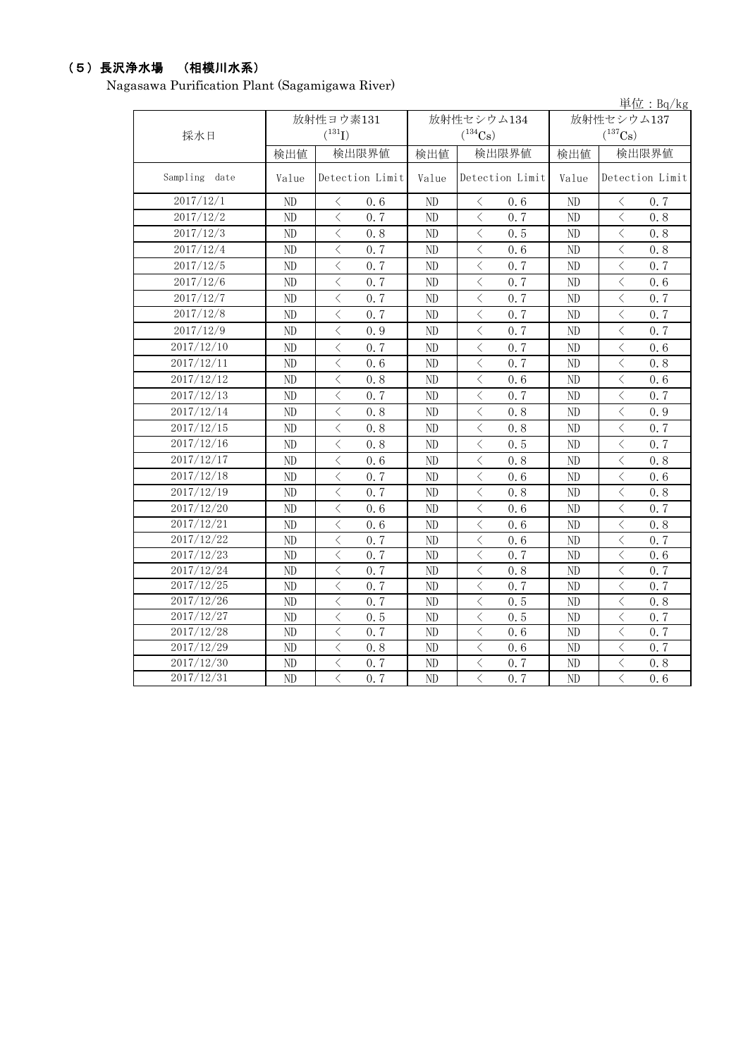## (5)長沢浄水場 (相模川水系)

Nagasawa Purification Plant (Sagamigawa River)

| 単位: $Bq/kg$      |                |                             |                |                                                                                                                                                                            |                |                                                 |  |  |
|------------------|----------------|-----------------------------|----------------|----------------------------------------------------------------------------------------------------------------------------------------------------------------------------|----------------|-------------------------------------------------|--|--|
|                  |                | 放射性ヨウ素131                   |                | 放射性セシウム134                                                                                                                                                                 | 放射性セシウム137     |                                                 |  |  |
| 採水日              |                | $(^{131}I)$                 |                | $(^{134}Cs)$                                                                                                                                                               |                | $(^{137}Cs)$                                    |  |  |
|                  | 検出値            | 検出限界値                       | 検出値            | 検出限界値                                                                                                                                                                      | 検出値            | 検出限界値                                           |  |  |
| Sampling<br>date | Value          | Detection Limit             | Value          | Detection Limit                                                                                                                                                            | Value          | Detection Limit                                 |  |  |
| 2017/12/1        | ND             | $\langle$<br>0.6            | ND             | $\langle$<br>0.6                                                                                                                                                           | ND             | $\langle$<br>0.7                                |  |  |
| 2017/12/2        | ND             | $\langle$<br>0.7            | ND             | $\lt$<br>0.7                                                                                                                                                               | ND             | $\lt$<br>0.8                                    |  |  |
| 2017/12/3        | ND             | $\langle$<br>0.8            | ND             | $\langle$<br>0.5                                                                                                                                                           | ND             | $\overline{\left\langle \right\rangle }$<br>0.8 |  |  |
| 2017/12/4        | ND             | $\lt$<br>0.7                | ND             | $\hspace{0.5cm}\mathopen{\begin{array}{c} \mathopen{\begin{array}{c} \mathopen{\hskip 1pt}\mathopen{\label{array}{c} \mathopen{\hskip 1pt}\mathopen{\end{array}}}}$<br>0.6 | ND             | $\lt$<br>0.8                                    |  |  |
| 2017/12/5        | ND             | $\langle$<br>0.7            | ND             | $\langle$<br>0.7                                                                                                                                                           | ND             | $\lt$<br>0.7                                    |  |  |
| 2017/12/6        | ND             | $\langle$<br>0.7            | ND             | $\lt$<br>0.7                                                                                                                                                               | ND             | $\lt$<br>0.6                                    |  |  |
| 2017/12/7        | ND             | $\langle$<br>0.7            | ND             | $\langle$<br>0.7                                                                                                                                                           | ND             | $\lt$<br>0.7                                    |  |  |
| 2017/12/8        | ND             | $\langle$<br>0.7            | ND             | $\langle$<br>0.7                                                                                                                                                           | ND             | $\lt$<br>0.7                                    |  |  |
| 2017/12/9        | ND             | $\langle$<br>0.9            | ND             | $\langle$<br>0, 7                                                                                                                                                          | ND             | $\langle$<br>0.7                                |  |  |
| 2017/12/10       | ND             | $\lt$<br>0.7                | ND             | $\, < \,$<br>0.7                                                                                                                                                           | ND             | $\lt$<br>0.6                                    |  |  |
| 2017/12/11       | ND             | $\langle$<br>0.6            | ND             | $\, < \,$<br>0.7                                                                                                                                                           | ND             | $\langle$<br>0.8                                |  |  |
| 2017/12/12       | ND             | $\langle$<br>0.8            | ND             | $\,$ $\,$ $\,$<br>0.6                                                                                                                                                      | ND             | $\overline{\left\langle \right\rangle }$<br>0.6 |  |  |
| 2017/12/13       | ND             | $\langle$<br>0, 7           | ND             | $\,$ $\,$ $\,$<br>0.7                                                                                                                                                      | ND             | $\langle$<br>0.7                                |  |  |
| 2017/12/14       | ND             | $\langle$<br>0.8            | ND             | $\lt$<br>0.8                                                                                                                                                               | ND             | $\overline{\left\langle \right\rangle }$<br>0.9 |  |  |
| 2017/12/15       | ND             | $\,$ $\,$ $\,$<br>0.8       | ND             | $\,$ $\,$ $\,$<br>0.8                                                                                                                                                      | ND             | $\langle$<br>0.7                                |  |  |
| 2017/12/16       | ND             | $\langle$<br>0.8            | ND             | $\langle$<br>0.5                                                                                                                                                           | ND             | $\lt$<br>0.7                                    |  |  |
| 2017/12/17       | N <sub>D</sub> | $\overline{\langle}$<br>0.6 | N <sub>D</sub> | $\langle$<br>0.8                                                                                                                                                           | N <sub>D</sub> | $\langle$<br>0.8                                |  |  |
| 2017/12/18       | ND             | $\langle$<br>0.7            | ND             | $\,$ $\,$ $\,$<br>0.6                                                                                                                                                      | ND             | $\langle$<br>0.6                                |  |  |
| 2017/12/19       | ND             | $\langle$<br>0.7            | ND             | $\langle$<br>0.8                                                                                                                                                           | ND             | $\langle$<br>0.8                                |  |  |
| 2017/12/20       | ND             | $\langle$<br>0.6            | ND             | $\langle$<br>0.6                                                                                                                                                           | ND             | $\langle$<br>0.7                                |  |  |
| 2017/12/21       | ND             | $\lt$<br>0.6                | ND             | $\lt$<br>0.6                                                                                                                                                               | ND             | $\lt$<br>0.8                                    |  |  |
| 2017/12/22       | ND             | $\langle$<br>0, 7           | ND             | $\langle$<br>0.6                                                                                                                                                           | ND             | $\langle$<br>0.7                                |  |  |
| 2017/12/23       | ND             | $\langle$<br>0.7            | ND             | $\lt$<br>0.7                                                                                                                                                               | ND             | $\lt$<br>0.6                                    |  |  |
| 2017/12/24       | ND             | $\langle$<br>0.7            | ND             | $\lt$<br>0.8                                                                                                                                                               | ND             | $\lt$<br>0.7                                    |  |  |
| 2017/12/25       | ND             | $\lt$<br>0.7                | ND             | $\lt$<br>0.7                                                                                                                                                               | ND             | $\langle$<br>0.7                                |  |  |
| 2017/12/26       | ND             | $\langle$<br>0.7            | ND             | $\,$ $\,$ $\,$<br>0.5                                                                                                                                                      | ND             | $\lt$<br>0.8                                    |  |  |
| 2017/12/27       | N <sub>D</sub> | $\langle$<br>0.5            | ND             | $\langle$<br>0.5                                                                                                                                                           | ND             | $\langle$<br>0.7                                |  |  |
| 2017/12/28       | ND             | $\langle$<br>0.7            | ND             | $\langle$<br>0.6                                                                                                                                                           | ND             | $\overline{\left\langle \right\rangle }$<br>0.7 |  |  |
| 2017/12/29       | ND             | $\langle$<br>0.8            | ND             | $\hspace{0.5cm}\mathopen{<}$<br>0.6                                                                                                                                        | ND             | $\langle$<br>0.7                                |  |  |
| 2017/12/30       | ND             | $\langle$<br>0.7            | ND             | $\lt$<br>0.7                                                                                                                                                               | ND             | $\langle$<br>0.8                                |  |  |
| 2017/12/31       | ND             | $\langle$<br>0.7            | ND             | $\lt$<br>0.7                                                                                                                                                               | ND             | $\langle$<br>0.6                                |  |  |